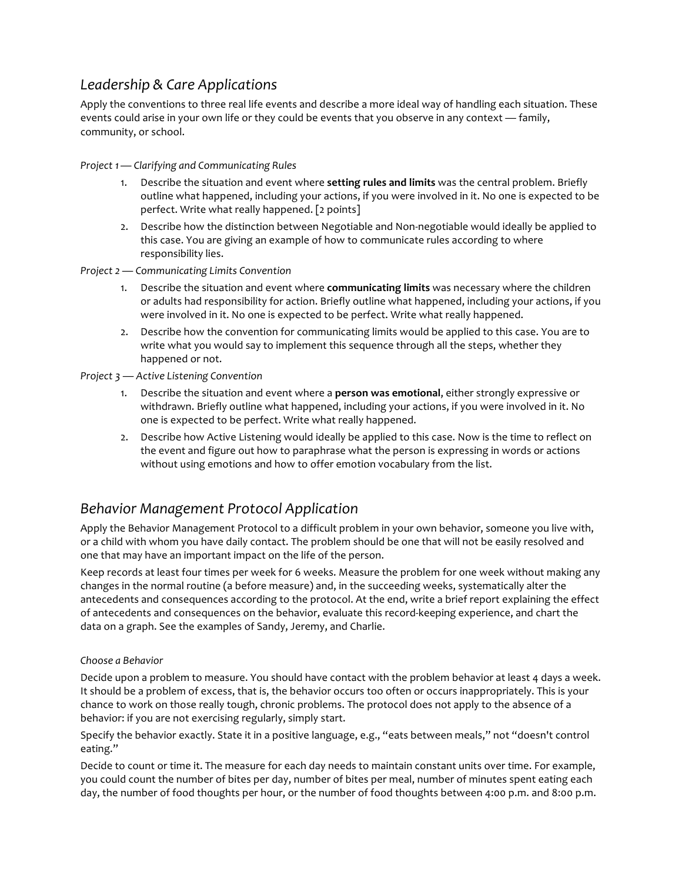# *Leadership & Care Applications*

Apply the conventions to three real life events and describe a more ideal way of handling each situation. These events could arise in your own life or they could be events that you observe in any context — family, community, or school.

*Project 1— Clarifying and Communicating Rules*

- 1. Describe the situation and event where **setting rules and limits** was the central problem. Briefly outline what happened, including your actions, if you were involved in it. No one is expected to be perfect. Write what really happened. [2 points]
- 2. Describe how the distinction between Negotiable and Non-negotiable would ideally be applied to this case. You are giving an example of how to communicate rules according to where responsibility lies.
- *Project 2 — Communicating Limits Convention*
	- 1. Describe the situation and event where **communicating limits** was necessary where the children or adults had responsibility for action. Briefly outline what happened, including your actions, if you were involved in it. No one is expected to be perfect. Write what really happened.
	- 2. Describe how the convention for communicating limits would be applied to this case. You are to write what you would say to implement this sequence through all the steps, whether they happened or not.

*Project 3 — Active Listening Convention*

- 1. Describe the situation and event where a **person was emotional**, either strongly expressive or withdrawn. Briefly outline what happened, including your actions, if you were involved in it. No one is expected to be perfect. Write what really happened.
- 2. Describe how Active Listening would ideally be applied to this case. Now is the time to reflect on the event and figure out how to paraphrase what the person is expressing in words or actions without using emotions and how to offer emotion vocabulary from the list.

# *Behavior Management Protocol Application*

Apply the Behavior Management Protocol to a difficult problem in your own behavior, someone you live with, or a child with whom you have daily contact. The problem should be one that will not be easily resolved and one that may have an important impact on the life of the person.

Keep records at least four times per week for 6 weeks. Measure the problem for one week without making any changes in the normal routine (a before measure) and, in the succeeding weeks, systematically alter the antecedents and consequences according to the protocol. At the end, write a brief report explaining the effect of antecedents and consequences on the behavior, evaluate this record-keeping experience, and chart the data on a graph. See the examples of Sandy, Jeremy, and Charlie.

### *Choose a Behavior*

Decide upon a problem to measure. You should have contact with the problem behavior at least 4 days a week. It should be a problem of excess, that is, the behavior occurs too often or occurs inappropriately. This is your chance to work on those really tough, chronic problems. The protocol does not apply to the absence of a behavior: if you are not exercising regularly, simply start.

Specify the behavior exactly. State it in a positive language, e.g., "eats between meals," not "doesn't control eating."

Decide to count or time it. The measure for each day needs to maintain constant units over time. For example, you could count the number of bites per day, number of bites per meal, number of minutes spent eating each day, the number of food thoughts per hour, or the number of food thoughts between 4:00 p.m. and 8:00 p.m.